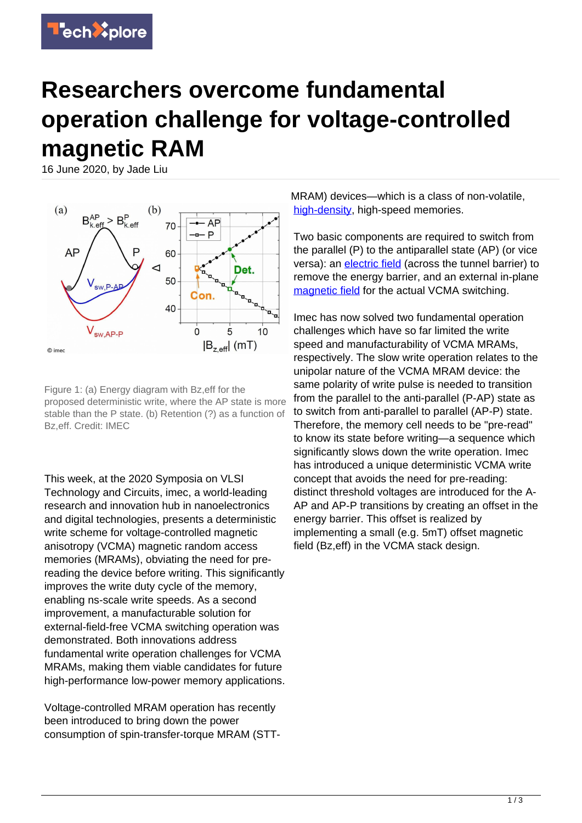## **Researchers overcome fundamental operation challenge for voltage-controlled magnetic RAM**

16 June 2020, by Jade Liu



Figure 1: (a) Energy diagram with Bz,eff for the proposed deterministic write, where the AP state is more stable than the P state. (b) Retention (?) as a function of Bz,eff. Credit: IMEC

This week, at the 2020 Symposia on VLSI Technology and Circuits, imec, a world-leading research and innovation hub in nanoelectronics and digital technologies, presents a deterministic write scheme for voltage-controlled magnetic anisotropy (VCMA) magnetic random access memories (MRAMs), obviating the need for prereading the device before writing. This significantly improves the write duty cycle of the memory, enabling ns-scale write speeds. As a second improvement, a manufacturable solution for external-field-free VCMA switching operation was demonstrated. Both innovations address fundamental write operation challenges for VCMA MRAMs, making them viable candidates for future high-performance low-power memory applications.

Voltage-controlled MRAM operation has recently been introduced to bring down the power consumption of spin-transfer-torque MRAM (STT- MRAM) devices—which is a class of non-volatile, [high-density,](https://techxplore.com/tags/high-density/) high-speed memories.

Two basic components are required to switch from the parallel (P) to the antiparallel state (AP) (or vice versa): an [electric field](https://techxplore.com/tags/electric+field/) (across the tunnel barrier) to remove the energy barrier, and an external in-plane [magnetic field](https://techxplore.com/tags/magnetic+field/) for the actual VCMA switching.

Imec has now solved two fundamental operation challenges which have so far limited the write speed and manufacturability of VCMA MRAMs, respectively. The slow write operation relates to the unipolar nature of the VCMA MRAM device: the same polarity of write pulse is needed to transition from the parallel to the anti-parallel (P-AP) state as to switch from anti-parallel to parallel (AP-P) state. Therefore, the memory cell needs to be "pre-read" to know its state before writing—a sequence which significantly slows down the write operation. Imec has introduced a unique deterministic VCMA write concept that avoids the need for pre-reading: distinct threshold voltages are introduced for the A-AP and AP-P transitions by creating an offset in the energy barrier. This offset is realized by implementing a small (e.g. 5mT) offset magnetic field (Bz,eff) in the VCMA stack design.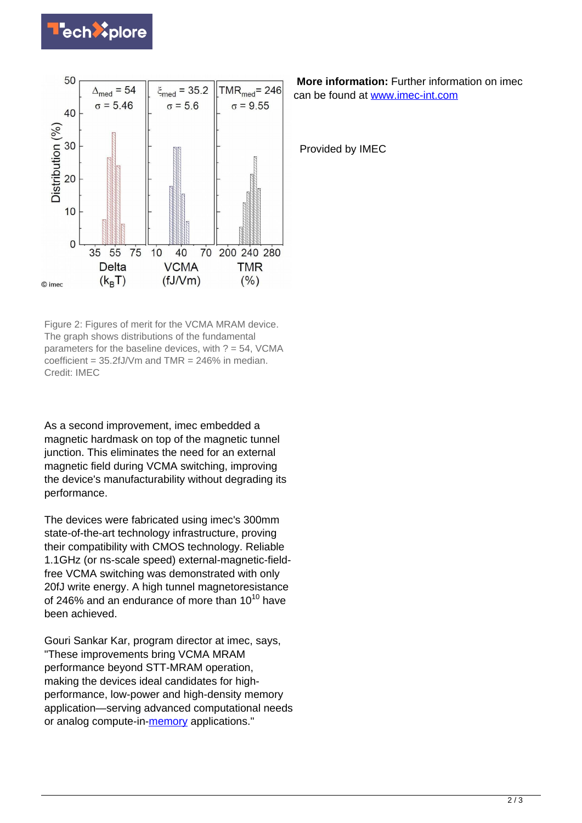



Figure 2: Figures of merit for the VCMA MRAM device. The graph shows distributions of the fundamental parameters for the baseline devices, with  $? = 54$ , VCMA coefficient =  $35.2fJ/Vm$  and TMR =  $246\%$  in median. Credit: IMEC

As a second improvement, imec embedded a magnetic hardmask on top of the magnetic tunnel junction. This eliminates the need for an external magnetic field during VCMA switching, improving the device's manufacturability without degrading its performance.

The devices were fabricated using imec's 300mm state-of-the-art technology infrastructure, proving their compatibility with CMOS technology. Reliable 1.1GHz (or ns-scale speed) external-magnetic-fieldfree VCMA switching was demonstrated with only 20fJ write energy. A high tunnel magnetoresistance of 246% and an endurance of more than  $10^{10}$  have been achieved.

Gouri Sankar Kar, program director at imec, says, "These improvements bring VCMA MRAM performance beyond STT-MRAM operation, making the devices ideal candidates for highperformance, low-power and high-density memory application—serving advanced computational needs or analog compute-in[-memory](https://techxplore.com/tags/memory/) applications."

 **More information:** Further information on imec can be found at [www.imec-int.com](http://www.imec-int.com)

Provided by IMEC